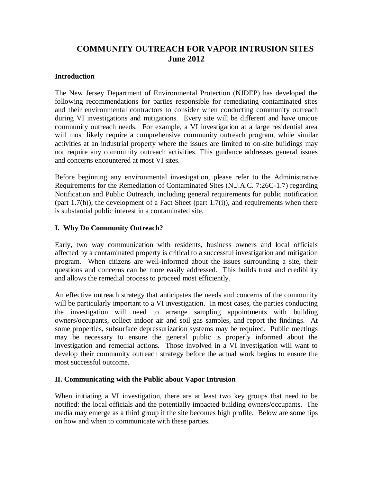# **COMMUNITY OUTREACH FOR VAPOR INTRUSION SITES June 2012**

#### **Introduction**

The New Jersey Department of Environmental Protection (NJDEP) has developed the following recommendations for parties responsible for remediating contaminated sites and their environmental contractors to consider when conducting community outreach during VI investigations and mitigations. Every site will be different and have unique community outreach needs. For example, a VI investigation at a large residential area will most likely require a comprehensive community outreach program, while similar activities at an industrial property where the issues are limited to on-site buildings may not require any community outreach activities. This guidance addresses general issues and concerns encountered at most VI sites.

Before beginning any environmental investigation, please refer to the Administrative Requirements for the Remediation of Contaminated Sites (N.J.A.C. 7:26C-1.7) regarding Notification and Public Outreach, including general requirements for public notification (part  $1.7(h)$ ), the development of a Fact Sheet (part  $1.7(i)$ ), and requirements when there is substantial public interest in a contaminated site.

## **I. Why Do Community Outreach?**

Early, two way communication with residents, business owners and local officials affected by a contaminated property is critical to a successful investigation and mitigation program. When citizens are well-informed about the issues surrounding a site, their questions and concerns can be more easily addressed. This builds trust and credibility and allows the remedial process to proceed most efficiently.

An effective outreach strategy that anticipates the needs and concerns of the community will be particularly important to a VI investigation. In most cases, the parties conducting the investigation will need to arrange sampling appointments with building owners/occupants, collect indoor air and soil gas samples, and report the findings. At some properties, subsurface depressurization systems may be required. Public meetings may be necessary to ensure the general public is properly informed about the investigation and remedial actions. Those involved in a VI investigation will want to develop their community outreach strategy before the actual work begins to ensure the most successful outcome.

## **II. Communicating with the Public about Vapor Intrusion**

When initiating a VI investigation, there are at least two key groups that need to be notified: the local officials and the potentially impacted building owners/occupants. The media may emerge as a third group if the site becomes high profile. Below are some tips on how and when to communicate with these parties.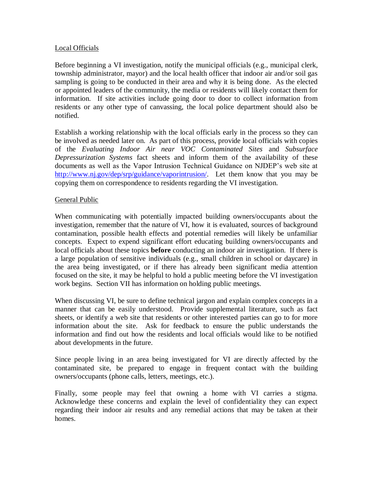#### Local Officials

Before beginning a VI investigation, notify the municipal officials (e.g., municipal clerk, township administrator, mayor) and the local health officer that indoor air and/or soil gas sampling is going to be conducted in their area and why it is being done. As the elected or appointed leaders of the community, the media or residents will likely contact them for information. If site activities include going door to door to collect information from residents or any other type of canvassing, the local police department should also be notified.

Establish a working relationship with the local officials early in the process so they can be involved as needed later on. As part of this process, provide local officials with copies of the *Evaluating Indoor Air near VOC Contaminated Sites* and *Subsurface Depressurization Systems* fact sheets and inform them of the availability of these documents as well as the Vapor Intrusion Technical Guidance on NJDEP's web site at [http://www.nj.gov/dep/srp/guidance/vaporintrusion/.](http://www.nj.gov/dep/srp/guidance/vaporintrusion/) Let them know that you may be copying them on correspondence to residents regarding the VI investigation.

#### General Public

When communicating with potentially impacted building owners/occupants about the investigation, remember that the nature of VI, how it is evaluated, sources of background contamination, possible health effects and potential remedies will likely be unfamiliar concepts. Expect to expend significant effort educating building owners/occupants and local officials about these topics **before** conducting an indoor air investigation. If there is a large population of sensitive individuals (e.g., small children in school or daycare) in the area being investigated, or if there has already been significant media attention focused on the site, it may be helpful to hold a public meeting before the VI investigation work begins. Section VII has information on holding public meetings.

When discussing VI, be sure to define technical jargon and explain complex concepts in a manner that can be easily understood. Provide supplemental literature, such as fact sheets, or identify a web site that residents or other interested parties can go to for more information about the site. Ask for feedback to ensure the public understands the information and find out how the residents and local officials would like to be notified about developments in the future.

Since people living in an area being investigated for VI are directly affected by the contaminated site, be prepared to engage in frequent contact with the building owners/occupants (phone calls, letters, meetings, etc.).

Finally, some people may feel that owning a home with VI carries a stigma. Acknowledge these concerns and explain the level of confidentiality they can expect regarding their indoor air results and any remedial actions that may be taken at their homes.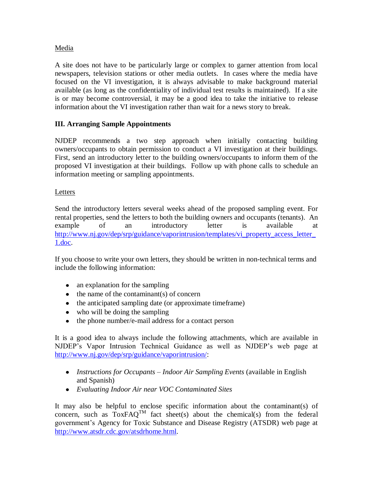## Media

A site does not have to be particularly large or complex to garner attention from local newspapers, television stations or other media outlets. In cases where the media have focused on the VI investigation, it is always advisable to make background material available (as long as the confidentiality of individual test results is maintained). If a site is or may become controversial, it may be a good idea to take the initiative to release information about the VI investigation rather than wait for a news story to break.

## **III. Arranging Sample Appointments**

NJDEP recommends a two step approach when initially contacting building owners/occupants to obtain permission to conduct a VI investigation at their buildings. First, send an introductory letter to the building owners/occupants to inform them of the proposed VI investigation at their buildings. Follow up with phone calls to schedule an information meeting or sampling appointments.

#### Letters

Send the introductory letters several weeks ahead of the proposed sampling event. For rental properties, send the letters to both the building owners and occupants (tenants). An example of an introductory letter is available at http://www.nj.gov/dep/srp/guidance/vaporintrusion/templates/vi\_property\_access\_letter [1.doc.](http://www.nj.gov/dep/srp/guidance/vaporintrusion/templates/vi_property_access_letter_1.doc)

If you choose to write your own letters, they should be written in non-technical terms and include the following information:

- an explanation for the sampling
- $\bullet$  the name of the contaminant(s) of concern
- the anticipated sampling date (or approximate timeframe)
- who will be doing the sampling
- the phone number/e-mail address for a contact person

It is a good idea to always include the following attachments, which are available in NJDEP's Vapor Intrusion Technical Guidance as well as NJDEP's web page at [http://www.nj.gov/dep/srp/guidance/vaporintrusion/:](http://www.nj.gov/dep/srp/guidance/indoor_air/)

- *Instructions for Occupants Indoor Air Sampling Events (available in English* and Spanish)
- *Evaluating Indoor Air near VOC Contaminated Sites*

It may also be helpful to enclose specific information about the contaminant(s) of concern, such as  $ToxFAQ^{TM}$  fact sheet(s) about the chemical(s) from the federal government's Agency for Toxic Substance and Disease Registry (ATSDR) web page at [http://www.atsdr.cdc.gov/atsdrhome.html.](http://www.atsdr.cdc.gov/atsdrhome.html)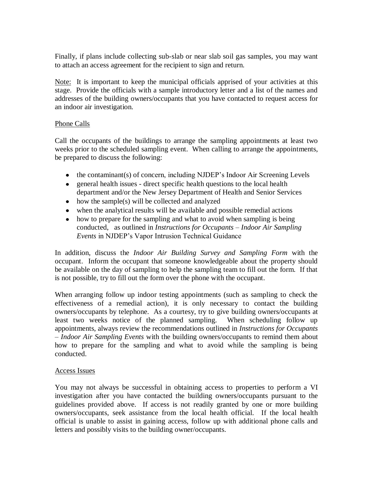Finally, if plans include collecting sub-slab or near slab soil gas samples, you may want to attach an access agreement for the recipient to sign and return.

Note: It is important to keep the municipal officials apprised of your activities at this stage. Provide the officials with a sample introductory letter and a list of the names and addresses of the building owners/occupants that you have contacted to request access for an indoor air investigation.

## Phone Calls

Call the occupants of the buildings to arrange the sampling appointments at least two weeks prior to the scheduled sampling event. When calling to arrange the appointments, be prepared to discuss the following:

- $\bullet$  the contaminant(s) of concern, including NJDEP's Indoor Air Screening Levels
- general health issues direct specific health questions to the local health department and/or the New Jersey Department of Health and Senior Services
- $\bullet$  how the sample(s) will be collected and analyzed
- when the analytical results will be available and possible remedial actions
- how to prepare for the sampling and what to avoid when sampling is being conducted, as outlined in *Instructions for Occupants – Indoor Air Sampling Events* in NJDEP's Vapor Intrusion Technical Guidance

In addition, discuss the *Indoor Air Building Survey and Sampling Form* with the occupant. Inform the occupant that someone knowledgeable about the property should be available on the day of sampling to help the sampling team to fill out the form. If that is not possible, try to fill out the form over the phone with the occupant.

When arranging follow up indoor testing appointments (such as sampling to check the effectiveness of a remedial action), it is only necessary to contact the building owners/occupants by telephone. As a courtesy, try to give building owners/occupants at least two weeks notice of the planned sampling. When scheduling follow up appointments, always review the recommendations outlined in *Instructions for Occupants – Indoor Air Sampling Events* with the building owners/occupants to remind them about how to prepare for the sampling and what to avoid while the sampling is being conducted.

#### Access Issues

You may not always be successful in obtaining access to properties to perform a VI investigation after you have contacted the building owners/occupants pursuant to the guidelines provided above. If access is not readily granted by one or more building owners/occupants, seek assistance from the local health official. If the local health official is unable to assist in gaining access, follow up with additional phone calls and letters and possibly visits to the building owner/occupants.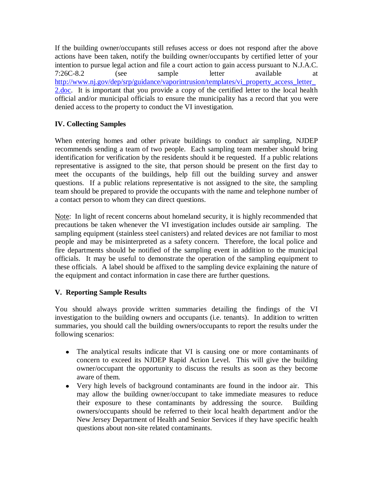If the building owner/occupants still refuses access or does not respond after the above actions have been taken, notify the building owner/occupants by certified letter of your intention to pursue legal action and file a court action to gain access pursuant to N.J.A.C. 7:26C-8.2 (see sample letter available at http://www.nj.gov/dep/srp/guidance/vaporintrusion/templates/vi\_property\_access\_letter [2.doc.](http://www.nj.gov/dep/srp/guidance/vaporintrusion/templates/vi_property_access_letter_2.doc) It is important that you provide a copy of the certified letter to the local health official and/or municipal officials to ensure the municipality has a record that you were denied access to the property to conduct the VI investigation.

# **IV. Collecting Samples**

When entering homes and other private buildings to conduct air sampling, NJDEP recommends sending a team of two people. Each sampling team member should bring identification for verification by the residents should it be requested. If a public relations representative is assigned to the site, that person should be present on the first day to meet the occupants of the buildings, help fill out the building survey and answer questions. If a public relations representative is not assigned to the site, the sampling team should be prepared to provide the occupants with the name and telephone number of a contact person to whom they can direct questions.

Note: In light of recent concerns about homeland security, it is highly recommended that precautions be taken whenever the VI investigation includes outside air sampling. The sampling equipment (stainless steel canisters) and related devices are not familiar to most people and may be misinterpreted as a safety concern. Therefore, the local police and fire departments should be notified of the sampling event in addition to the municipal officials. It may be useful to demonstrate the operation of the sampling equipment to these officials. A label should be affixed to the sampling device explaining the nature of the equipment and contact information in case there are further questions.

## **V. Reporting Sample Results**

You should always provide written summaries detailing the findings of the VI investigation to the building owners and occupants (i.e. tenants). In addition to written summaries, you should call the building owners/occupants to report the results under the following scenarios:

- The analytical results indicate that VI is causing one or more contaminants of concern to exceed its NJDEP Rapid Action Level. This will give the building owner/occupant the opportunity to discuss the results as soon as they become aware of them.
- Very high levels of background contaminants are found in the indoor air. This may allow the building owner/occupant to take immediate measures to reduce their exposure to these contaminants by addressing the source. Building owners/occupants should be referred to their local health department and/or the New Jersey Department of Health and Senior Services if they have specific health questions about non-site related contaminants.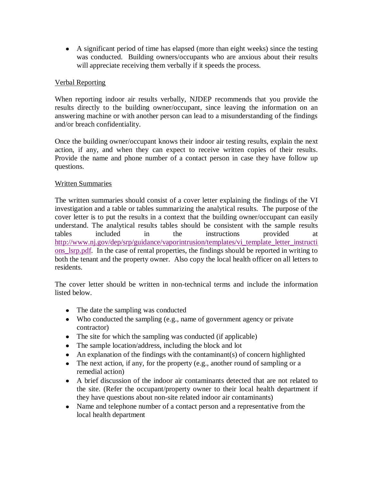A significant period of time has elapsed (more than eight weeks) since the testing was conducted. Building owners/occupants who are anxious about their results will appreciate receiving them verbally if it speeds the process.

## Verbal Reporting

When reporting indoor air results verbally, NJDEP recommends that you provide the results directly to the building owner/occupant, since leaving the information on an answering machine or with another person can lead to a misunderstanding of the findings and/or breach confidentiality.

Once the building owner/occupant knows their indoor air testing results, explain the next action, if any, and when they can expect to receive written copies of their results. Provide the name and phone number of a contact person in case they have follow up questions.

## Written Summaries

The written summaries should consist of a cover letter explaining the findings of the VI investigation and a table or tables summarizing the analytical results. The purpose of the cover letter is to put the results in a context that the building owner/occupant can easily understand. The analytical results tables should be consistent with the sample results tables included in the instructions provided a[t](http://www.nj.gov/dep/srp/guidance/vaporintrusion/template/%20vi_property_access_letter_2.doc) [http://www.nj.gov/dep/srp/guidance/vaporintrusion/templates/vi\\_template\\_letter\\_instructi](http://www.nj.gov/dep/srp/guidance/vaporintrusion/templates/vi_template_letter_instructions_lsrp.pdf) [ons\\_lsrp.pdf.](http://www.nj.gov/dep/srp/guidance/vaporintrusion/templates/vi_template_letter_instructions_lsrp.pdf) In the case of rental properties, the findings should be reported in writing to both the tenant and the property owner. Also copy the local health officer on all letters to residents.

The cover letter should be written in non-technical terms and include the information listed below.

- The date the sampling was conducted
- Who conducted the sampling (e.g., name of government agency or private contractor)
- The site for which the sampling was conducted (if applicable)
- The sample location/address, including the block and lot
- $\bullet$  An explanation of the findings with the contaminant(s) of concern highlighted
- The next action, if any, for the property (e.g., another round of sampling or a remedial action)
- A brief discussion of the indoor air contaminants detected that are not related to the site. (Refer the occupant/property owner to their local health department if they have questions about non-site related indoor air contaminants)
- Name and telephone number of a contact person and a representative from the local health department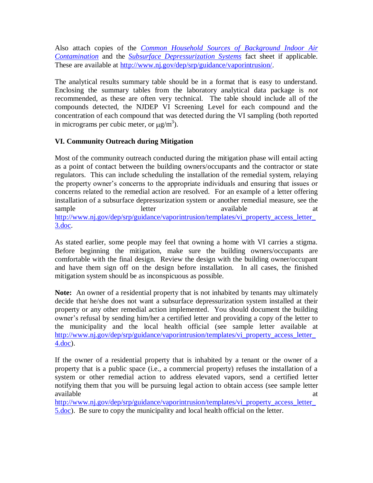Also attach copies of the *[Common Household Sources of Background Indoor Air](http://www.nj.gov/dep/srp/guidance/vaporintrusion/household_sources_of_contamination.pdf)  [Contamination](http://www.nj.gov/dep/srp/guidance/vaporintrusion/household_sources_of_contamination.pdf)* and the *[Subsurface Depressurization Systems](http://www.nj.gov/dep/srp/guidance/vaporintrusion/subsurface.htm)* fact sheet if applicable. These are available at [http://www.nj.gov/dep/srp/guidance/vaporintrusion/.](http://www.nj.gov/dep/srp/guidance/vaporintrusion/)

The analytical results summary table should be in a format that is easy to understand. Enclosing the summary tables from the laboratory analytical data package is *not* recommended, as these are often very technical. The table should include all of the compounds detected, the NJDEP VI Screening Level for each compound and the concentration of each compound that was detected during the VI sampling (both reported in micrograms per cubic meter, or  $\mu$ g/m<sup>3</sup>).

# **VI. Community Outreach during Mitigation**

Most of the community outreach conducted during the mitigation phase will entail acting as a point of contact between the building owners/occupants and the contractor or state regulators. This can include scheduling the installation of the remedial system, relaying the property owner's concerns to the appropriate individuals and ensuring that issues or concerns related to the remedial action are resolved. For an example of a letter offering installation of a subsurface depressurization system or another remedial measure, see the sample letter available at a http://www.nj.gov/dep/srp/guidance/vaporintrusion/templates/vi\_property\_access\_letter [3.doc.](http://www.nj.gov/dep/srp/guidance/vaporintrusion/templates/vi_property_access_letter_3.doc)

As stated earlier, some people may feel that owning a home with VI carries a stigma. Before beginning the mitigation, make sure the building owners/occupants are comfortable with the final design. Review the design with the building owner/occupant and have them sign off on the design before installation. In all cases, the finished mitigation system should be as inconspicuous as possible.

**Note:** An owner of a residential property that is not inhabited by tenants may ultimately decide that he/she does not want a subsurface depressurization system installed at their property or any other remedial action implemented. You should document the building owner's refusal by sending him/her a certified letter and providing a copy of the letter to the municipality and the local health official (see sample letter available at [http://www.nj.gov/dep/srp/guidance/vaporintrusion/templates/vi\\_property\\_access\\_letter\\_](http://www.nj.gov/dep/srp/guidance/vaporintrusion/templates/vi_property_access_letter_4.doc) [4.doc\)](http://www.nj.gov/dep/srp/guidance/vaporintrusion/templates/vi_property_access_letter_4.doc).

If the owner of a residential property that is inhabited by a tenant or the owner of a property that is a public space (i.e., a commercial property) refuses the installation of a system or other remedial action to address elevated vapors, send a certified letter notifying them that you will be pursuing legal action to obtain access (see sample letter available at the contract of the contract of the contract of the contract of the contract of the contract of the contract of the contract of the contract of the contract of the contract of the contract of the contract of t

http://www.nj.gov/dep/srp/guidance/vaporintrusion/templates/vi\_property\_access\_letter [5.doc\)](http://www.nj.gov/dep/srp/guidance/vaporintrusion/templates/vi_property_access_letter_5.doc). Be sure to copy the municipality and local health official on the letter.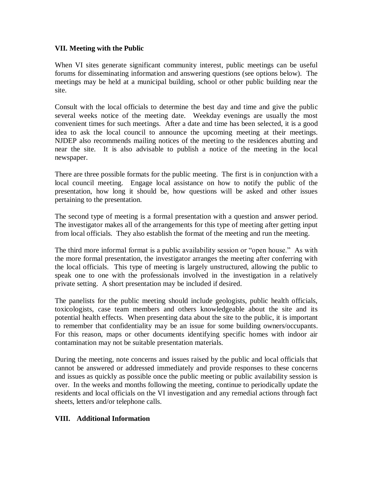#### **VII. Meeting with the Public**

When VI sites generate significant community interest, public meetings can be useful forums for disseminating information and answering questions (see options below). The meetings may be held at a municipal building, school or other public building near the site.

Consult with the local officials to determine the best day and time and give the public several weeks notice of the meeting date. Weekday evenings are usually the most convenient times for such meetings. After a date and time has been selected, it is a good idea to ask the local council to announce the upcoming meeting at their meetings. NJDEP also recommends mailing notices of the meeting to the residences abutting and near the site. It is also advisable to publish a notice of the meeting in the local newspaper.

There are three possible formats for the public meeting. The first is in conjunction with a local council meeting. Engage local assistance on how to notify the public of the presentation, how long it should be, how questions will be asked and other issues pertaining to the presentation.

The second type of meeting is a formal presentation with a question and answer period. The investigator makes all of the arrangements for this type of meeting after getting input from local officials. They also establish the format of the meeting and run the meeting.

The third more informal format is a public availability session or "open house." As with the more formal presentation, the investigator arranges the meeting after conferring with the local officials. This type of meeting is largely unstructured, allowing the public to speak one to one with the professionals involved in the investigation in a relatively private setting. A short presentation may be included if desired.

The panelists for the public meeting should include geologists, public health officials, toxicologists, case team members and others knowledgeable about the site and its potential health effects. When presenting data about the site to the public, it is important to remember that confidentiality may be an issue for some building owners/occupants. For this reason, maps or other documents identifying specific homes with indoor air contamination may not be suitable presentation materials.

During the meeting, note concerns and issues raised by the public and local officials that cannot be answered or addressed immediately and provide responses to these concerns and issues as quickly as possible once the public meeting or public availability session is over. In the weeks and months following the meeting, continue to periodically update the residents and local officials on the VI investigation and any remedial actions through fact sheets, letters and/or telephone calls.

## **VIII. Additional Information**